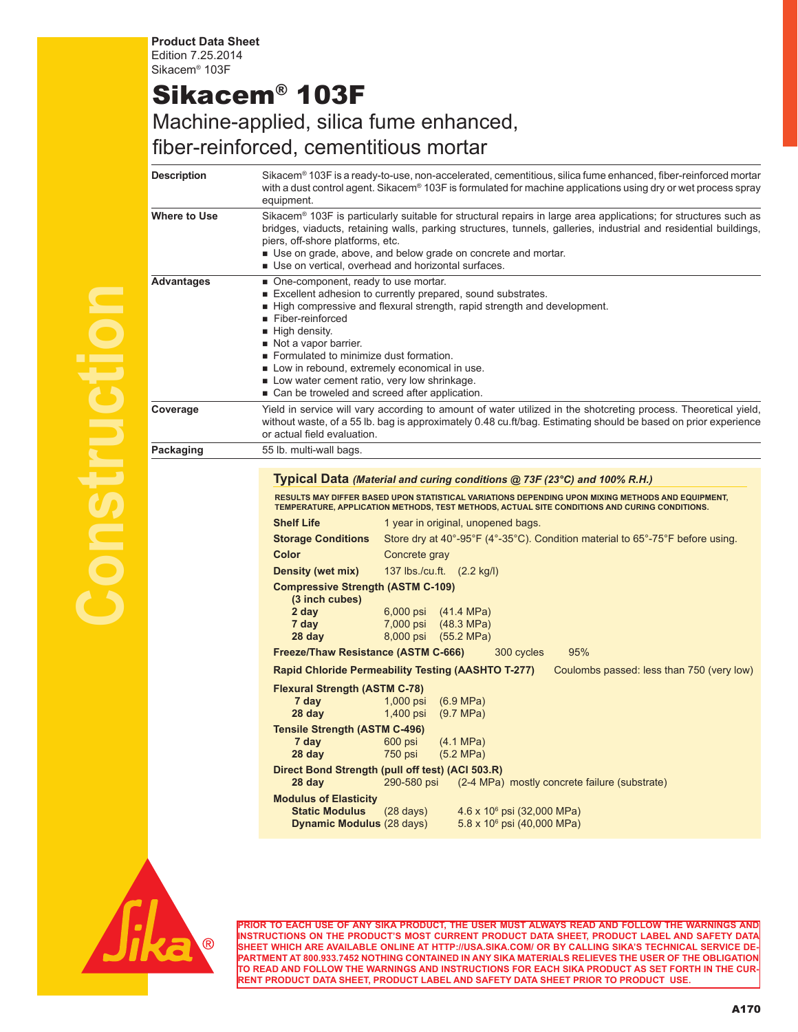**Product Data Sheet** Edition 7.25.2014 Sikacem® 103F

## Sikacem® 103F

## Machine-applied, silica fume enhanced, fiber-reinforced, cementitious mortar

| Description       | Sikacem® 103F is a ready-to-use, non-accelerated, cementitious, silica fume enhanced, fiber-reinforced mortar<br>with a dust control agent. Sikacem® 103F is formulated for machine applications using dry or wet process spray<br>equipment.                                                                                                                                                                                                                                                                                                                                                                                                                |
|-------------------|--------------------------------------------------------------------------------------------------------------------------------------------------------------------------------------------------------------------------------------------------------------------------------------------------------------------------------------------------------------------------------------------------------------------------------------------------------------------------------------------------------------------------------------------------------------------------------------------------------------------------------------------------------------|
| Where to Use      | Sikacem® 103F is particularly suitable for structural repairs in large area applications; for structures such as<br>bridges, viaducts, retaining walls, parking structures, tunnels, galleries, industrial and residential buildings,<br>piers, off-shore platforms, etc.<br>Use on grade, above, and below grade on concrete and mortar.<br>Use on vertical, overhead and horizontal surfaces.                                                                                                                                                                                                                                                              |
| <b>Advantages</b> | One-component, ready to use mortar.<br>■ Excellent adhesion to currently prepared, sound substrates.<br>■ High compressive and flexural strength, rapid strength and development.<br>Fiber-reinforced<br>■ High density.<br>Not a vapor barrier.<br>Formulated to minimize dust formation.<br>Low in rebound, extremely economical in use.<br>Low water cement ratio, very low shrinkage.<br>■ Can be troweled and screed after application.                                                                                                                                                                                                                 |
| Coverage          | Yield in service will vary according to amount of water utilized in the shotcreting process. Theoretical yield,<br>without waste, of a 55 lb. bag is approximately 0.48 cu.ft/bag. Estimating should be based on prior experience<br>or actual field evaluation.                                                                                                                                                                                                                                                                                                                                                                                             |
| Packaging         | 55 lb. multi-wall bags.                                                                                                                                                                                                                                                                                                                                                                                                                                                                                                                                                                                                                                      |
|                   | RESULTS MAY DIFFER BASED UPON STATISTICAL VARIATIONS DEPENDING UPON MIXING METHODS AND EQUIPMENT,<br>TEMPERATURE, APPLICATION METHODS, TEST METHODS, ACTUAL SITE CONDITIONS AND CURING CONDITIONS.<br><b>Shelf Life</b><br>1 year in original, unopened bags.<br><b>Storage Conditions</b><br>Store dry at 40°-95°F (4°-35°C). Condition material to $65^{\circ}$ -75°F before using.<br>Color<br>Concrete gray<br>Density (wet mix)<br>137 lbs./cu.ft. (2.2 kg/l)<br><b>Compressive Strength (ASTM C-109)</b><br>(3 inch cubes)<br>2 day<br>6,000 psi<br>(41.4 MPa)<br>7 day<br>7,000 psi<br>$(48.3 \text{ MPa})$<br>28 day<br>8,000 psi<br>$(55.2 \, MPa)$ |
|                   | Freeze/Thaw Resistance (ASTM C-666)<br>95%<br>300 cycles                                                                                                                                                                                                                                                                                                                                                                                                                                                                                                                                                                                                     |
|                   | <b>Rapid Chloride Permeability Testing (AASHTO T-277)</b><br>Coulombs passed: less than 750 (very low)                                                                                                                                                                                                                                                                                                                                                                                                                                                                                                                                                       |
|                   | <b>Flexural Strength (ASTM C-78)</b><br>1,000 psi<br>7 day<br>$(6.9 \text{ MPa})$<br>28 day<br>1,400 psi<br>(9.7 MPa)                                                                                                                                                                                                                                                                                                                                                                                                                                                                                                                                        |
|                   | <b>Tensile Strength (ASTM C-496)</b><br>7 day<br>600 psi<br>$(4.1 \text{ MPa})$<br>28 day<br>750 psi<br>(5.2 MPa)                                                                                                                                                                                                                                                                                                                                                                                                                                                                                                                                            |
|                   | Direct Bond Strength (pull off test) (ACI 503.R)<br>290-580 psi<br>(2-4 MPa) mostly concrete failure (substrate)<br>28 day                                                                                                                                                                                                                                                                                                                                                                                                                                                                                                                                   |
|                   | <b>Modulus of Elasticity</b><br><b>Static Modulus</b><br>$4.6 \times 10^6$ psi (32,000 MPa)<br>$(28 \text{ days})$<br>$5.8 \times 10^6$ psi (40,000 MPa)<br><b>Dynamic Modulus (28 days)</b>                                                                                                                                                                                                                                                                                                                                                                                                                                                                 |



**Construction**

**PRIOR TO EACH USE OF ANY SIKA PRODUCT, THE USER MUST ALWAYS READ AND FOLLOW THE WARNINGS AND INSTRUCTIONS ON THE PRODUCT'S MOST CURRENT PRODUCT DATA SHEET, PRODUCT LABEL AND SAFETY DATA SHEET WHICH ARE AVAILABLE ONLINE AT HTTP://USA.SIKA.COM/ OR BY CALLING SIKA'S TECHNICAL SERVICE DE-PARTMENT AT 800.933.7452 NOTHING CONTAINED IN ANY SIKA MATERIALS RELIEVES THE USER OF THE OBLIGATION TO READ AND FOLLOW THE WARNINGS AND INSTRUCTIONS FOR EACH SIKA PRODUCT AS SET FORTH IN THE CUR-RENT PRODUCT DATA SHEET, PRODUCT LABEL AND SAFETY DATA SHEET PRIOR TO PRODUCT USE.**